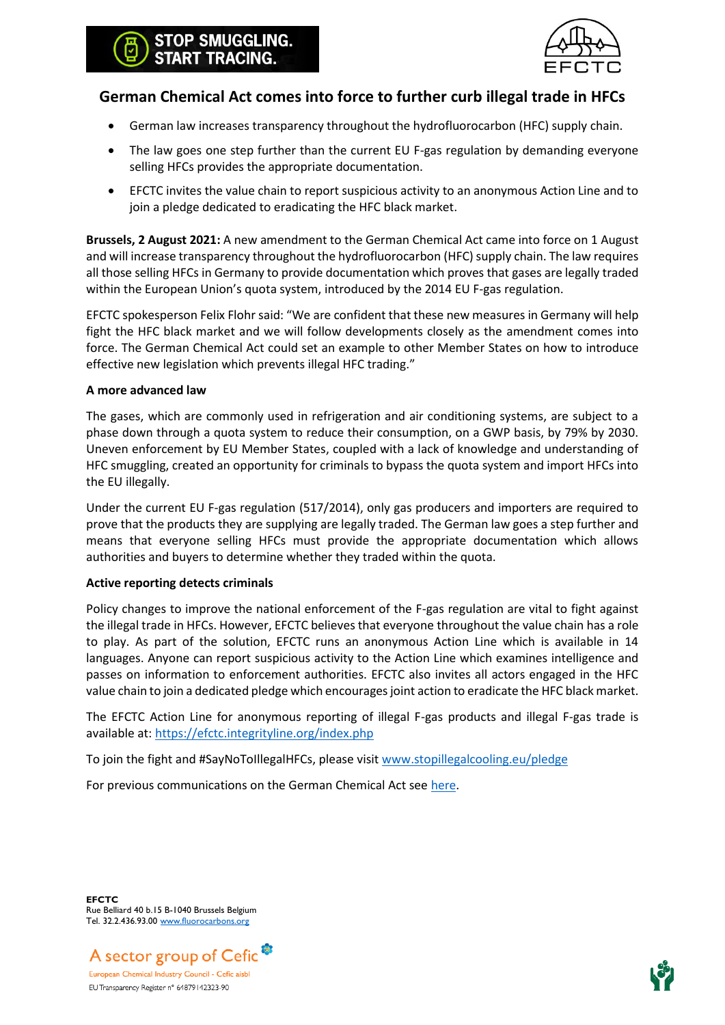# OP SMUGGLING. **RT TRACING.**



# **German Chemical Act comes into force to further curb illegal trade in HFCs**

- German law increases transparency throughout the hydrofluorocarbon (HFC) supply chain.
- The law goes one step further than the current EU F-gas regulation by demanding everyone selling HFCs provides the appropriate documentation.
- EFCTC invites the value chain to report suspicious activity to an anonymous Action Line and to join a pledge dedicated to eradicating the HFC black market.

**Brussels, 2 August 2021:** A new amendment to the German Chemical Act came into force on 1 August and will increase transparency throughout the hydrofluorocarbon (HFC) supply chain. The law requires all those selling HFCs in Germany to provide documentation which proves that gases are legally traded within the European Union's quota system, introduced by the 2014 EU F-gas regulation.

EFCTC spokesperson Felix Flohr said: "We are confident that these new measures in Germany will help fight the HFC black market and we will follow developments closely as the amendment comes into force. The German Chemical Act could set an example to other Member States on how to introduce effective new legislation which prevents illegal HFC trading."

## **A more advanced law**

The gases, which are commonly used in refrigeration and air conditioning systems, are subject to a phase down through a quota system to reduce their consumption, on a GWP basis, by 79% by 2030. Uneven enforcement by EU Member States, coupled with a lack of knowledge and understanding of HFC smuggling, created an opportunity for criminals to bypass the quota system and import HFCs into the EU illegally.

Under the current EU F-gas regulation (517/2014), only gas producers and importers are required to prove that the products they are supplying are legally traded. The German law goes a step further and means that everyone selling HFCs must provide the appropriate documentation which allows authorities and buyers to determine whether they traded within the quota.

## **Active reporting detects criminals**

Policy changes to improve the national enforcement of the F-gas regulation are vital to fight against the illegal trade in HFCs. However, EFCTC believes that everyone throughout the value chain has a role to play. As part of the solution, EFCTC runs an anonymous Action Line which is available in 14 languages. Anyone can report suspicious activity to the Action Line which examines intelligence and passes on information to enforcement authorities. EFCTC also invites all actors engaged in the HFC value chain to join a dedicated pledge which encourages joint action to eradicate the HFC black market.

The EFCTC Action Line for anonymous reporting of illegal F-gas products and illegal F-gas trade is available at:<https://efctc.integrityline.org/index.php>

To join the fight and #SayNoToIllegalHFCs, please visi[t www.stopillegalcooling.eu/pledge](http://www.stopillegalcooling.eu/pledge)

For previous communications on the German Chemical Act see [here.](https://stopillegalcooling.eu/wp-content/uploads/German-Chemical-Act-press-release-23062021.pdf)

**EFCTC** Rue Belliard 40 b.15 B-1040 Brussels Belgium Tel. 32.2.436.93.00 [www.fluorocarbons.org](http://www.fluorocarbons.org/)